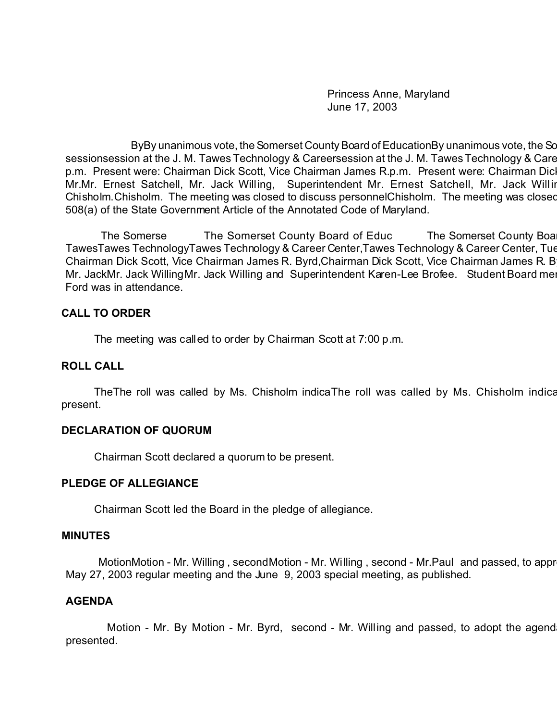Princess Anne, Maryland June 17, 2003

ByBy unanimous vote, the Somerset County Board of EducationBy unanimous vote, the Sc sessionsession at the J. M. Tawes Technology & Careersession at the J. M. Tawes Technology & Care p.m. Present were: Chairman Dick Scott, Vice Chairman James R.p.m. Present were: Chairman Dic Mr.Mr. Ernest Satchell, Mr. Jack Willing, Superintendent Mr. Ernest Satchell, Mr. Jack Willin Chisholm. Chisholm. The meeting was closed to discuss personnelChisholm. The meeting was closed 508(a) of the State Government Article of the Annotated Code of Maryland.

The Somerse The Somerset County Board of Educ The Somerset County Board of Education met in a regular session met in a regular session met in a regular session at the Somerset County Board set in a regular session at the S TawesTawes TechnologyTawes Technology & Career Center, Tawes Technology & Career Center, Tue Chairman Dick Scott, Vice Chairman James R. Byrd, Chairman Dick Scott, Vice Chairman James R. B Mr. JackMr. Jack WillingMr. Jack Willing and Superintendent Karen-Lee Brofee. Student Board me Ford was in attendance.

### **CALL TO ORDER**

The meeting was called to order by Chairman Scott at 7:00 p.m.

## **ROLL CALL**

TheThe roll was called by Ms. Chisholm indicaThe roll was called by Ms. Chisholm indication present.

# **DECLARATION OF QUORUM**

Chairman Scott declared a quorum to be present.

### **PLEDGE OF ALLEGIANCE**

Chairman Scott led the Board in the pledge of allegiance.

### **MINUTES**

MotionMotion - Mr. Willing , secondMotion - Mr. Willing , second - Mr.Paul and passed, to appr May 27, 2003 regular meeting and the June 9, 2003 special meeting, as published.

# **AGENDA**

Motion - Mr. By Motion - Mr. Byrd, second - Mr. Willing and passed, to adopt the agend presented.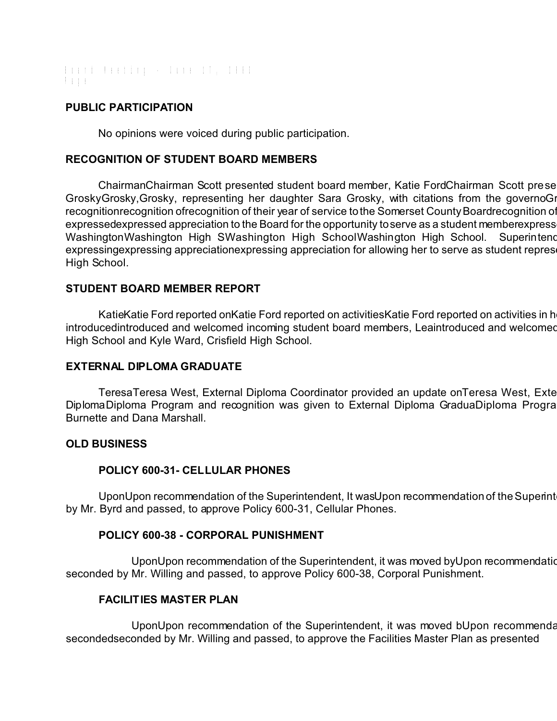Board Meeting - June 17, 2003 Page

## **PUBLIC PARTICIPATION**

No opinions were voiced during public participation.

## **RECOGNITION OF STUDENT BOARD MEMBERS**

ChairmanChairman Scott presented student board member, Katie FordChairman Scott prese GroskyGrosky, Grosky, representing her daughter Sara Grosky, with citations from the governoGi recognitionrecognition ofrecognition of their year of service to the Somerset County Board recognition of expressedexpressed appreciation to the Board for the opportunity to serve as a student memberexpress WashingtonWashington High SWashington High SchoolWashington High School. Superintend expressingexpressing appreciationexpressing appreciation for allowing her to serve as student repres High School.

### **STUDENT BOARD MEMBER REPORT**

KatieKatie Ford reported onKatie Ford reported on activitiesKatie Ford reported on activities in h introducedintroduced and welcomed incoming student board members, Leaintroduced and welcomed High School and Kyle Ward, Crisfield High School.

### **EXTERNAL DIPLOMA GRADUATE**

TeresaTeresa West, External Diploma Coordinator provided an update on Teresa West, Exte DiplomaDiploma Program and recognition was given to External Diploma GraduaDiploma Progra Burnette and Dana Marshall.

### **OLD BUSINESS**

### **POLICY 600-31- CELLULAR PHONES**

UponUpon recommendation of the Superintendent, It was Upon recommendation of the Superint by Mr. Byrd and passed, to approve Policy 600-31, Cellular Phones.

### **POLICY 600-38 - CORPORAL PUNISHMENT**

UponUpon recommendation of the Superintendent, it was moved by Upon recommendation seconded by Mr. Willing and passed, to approve Policy 600-38, Corporal Punishment.

### **FACILITIES MASTER PLAN**

UponUpon recommendation of the Superintendent, it was moved bUpon recommendation of the Superintendent, it was moved by Mr. Paul, and the Superintendent, it was moved by Mr. Paul, and Mr. Paul, it was moved by Mr. Paul, an secondedseconded by Mr. Willing and passed, to approve the Facilities Master Plan as presented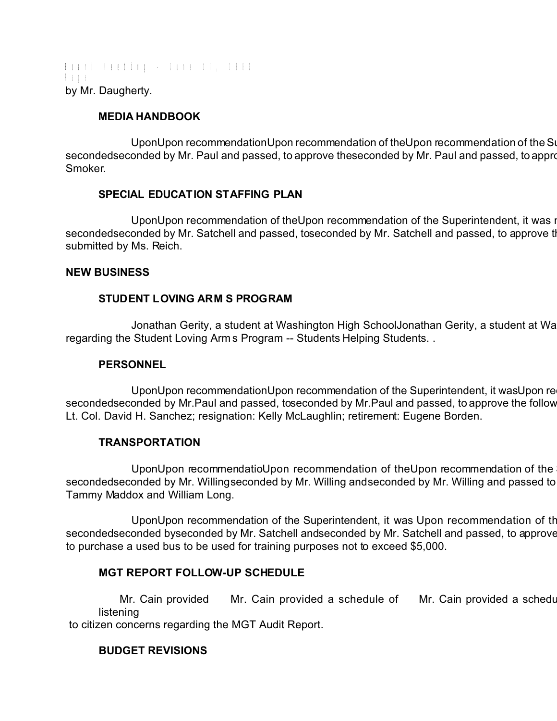Board Meeting - June 17, 2003 Page by Mr. Daugherty.

# **MEDIA HANDBOOK**

UponUpon recommendationUpon recommendation of theUpon recommendation of the Su secondedseconded by Mr. Paul and passed, to approve the seconded by Mr. Paul and passed, to appro Smoker.

# **SPECIAL EDUCATION STAFFING PLAN**

UponUpon recommendation of theUpon recommendation of the Superintendent, it was i secondedseconded by Mr. Satchell and passed, toseconded by Mr. Satchell and passed, to approve the submitted by Ms. Reich.

# **NEW BUSINESS**

# **STUDENT LOVING ARM S PROGRAM**

Jonathan Gerity, a student at Washington High SchoolJonathan Gerity, a student at Wa regarding the Student Loving Arms Program -- Students Helping Students. .

# **PERSONNEL**

UponUpon recommendationUpon recommendation of the Superintendent, it was Upon re secondedseconded by Mr.Paul and passed, toseconded by Mr.Paul and passed, to approve the follow Lt. Col. David H. Sanchez; resignation: Kelly McLaughlin; retirement: Eugene Borden.

# **TRANSPORTATION**

UponUpon recommendatioUpon recommendation of theUpon recommendation of the secondedseconded by Mr. Willingseconded by Mr. Willing and seconded by Mr. Willing and passed to Tammy Maddox and William Long.

UponUpon recommendation of the Superintendent, it was Upon recommendation of the secondedseconded byseconded by Mr. Satchell andseconded by Mr. Satchell and passed, to approve to purchase a used bus to be used for training purposes not to exceed \$5,000.

# **MGT REPORT FOLLOW-UP SCHEDULE**

Mr. Cain provided Mr. Cain provided a schedule of Mr. Cain provided a schedu listening

to citizen concerns regarding the MGT Audit Report.

# **BUDGET REVISIONS**